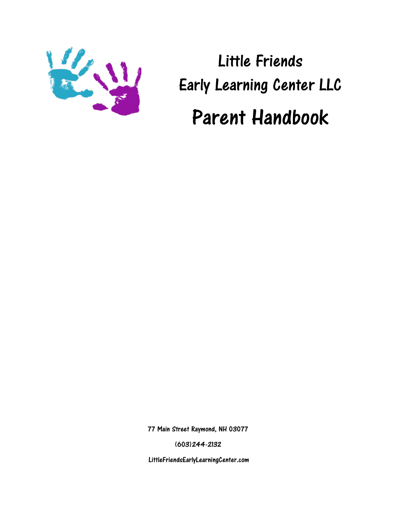

Little Friends Early Learning Center LLC Parent Handbook

77 Main Street Raymond, NH 03077

(603)244-2132

LittleFriendsEarlyLearningCenter.com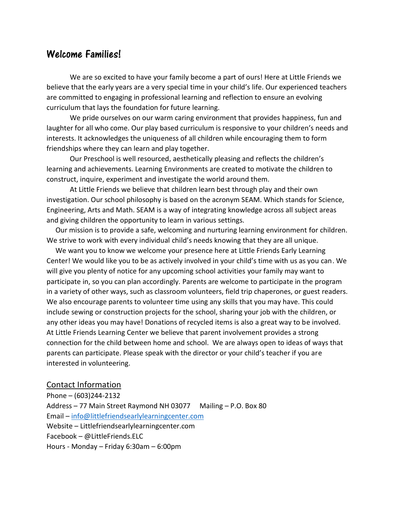# Welcome Families!

We are so excited to have your family become a part of ours! Here at Little Friends we believe that the early years are a very special time in your child's life. Our experienced teachers are committed to engaging in professional learning and reflection to ensure an evolving curriculum that lays the foundation for future learning.

We pride ourselves on our warm caring environment that provides happiness, fun and laughter for all who come. Our play based curriculum is responsive to your children's needs and interests. It acknowledges the uniqueness of all children while encouraging them to form friendships where they can learn and play together.

Our Preschool is well resourced, aesthetically pleasing and reflects the children's learning and achievements. Learning Environments are created to motivate the children to construct, inquire, experiment and investigate the world around them.

At Little Friends we believe that children learn best through play and their own investigation. Our school philosophy is based on the acronym SEAM. Which stands for Science, Engineering, Arts and Math. SEAM is a way of integrating knowledge across all subject areas and giving children the opportunity to learn in various settings.

 Our mission is to provide a safe, welcoming and nurturing learning environment for children. We strive to work with every individual child's needs knowing that they are all unique.

 We want you to know we welcome your presence here at Little Friends Early Learning Center! We would like you to be as actively involved in your child's time with us as you can. We will give you plenty of notice for any upcoming school activities your family may want to participate in, so you can plan accordingly. Parents are welcome to participate in the program in a variety of other ways, such as classroom volunteers, field trip chaperones, or guest readers. We also encourage parents to volunteer time using any skills that you may have. This could include sewing or construction projects for the school, sharing your job with the children, or any other ideas you may have! Donations of recycled items is also a great way to be involved. At Little Friends Learning Center we believe that parent involvement provides a strong connection for the child between home and school. We are always open to ideas of ways that parents can participate. Please speak with the director or your child's teacher if you are interested in volunteering.

#### Contact Information

Phone – (603)244-2132 Address – 77 Main Street Raymond NH 03077 Mailing – P.O. Box 80 Email – [info@littlefriendsearlylearningcenter.com](mailto:info@littlefriendsearlylearningcenter.com) Website – Littlefriendsearlylearningcenter.com Facebook – @LittleFriends.ELC Hours - Monday – Friday 6:30am – 6:00pm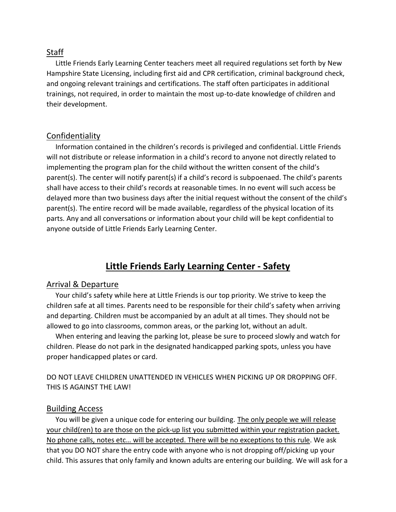### Staff

 Little Friends Early Learning Center teachers meet all required regulations set forth by New Hampshire State Licensing, including first aid and CPR certification, criminal background check, and ongoing relevant trainings and certifications. The staff often participates in additional trainings, not required, in order to maintain the most up-to-date knowledge of children and their development.

#### Confidentiality

 Information contained in the children's records is privileged and confidential. Little Friends will not distribute or release information in a child's record to anyone not directly related to implementing the program plan for the child without the written consent of the child's parent(s). The center will notify parent(s) if a child's record is subpoenaed. The child's parents shall have access to their child's records at reasonable times. In no event will such access be delayed more than two business days after the initial request without the consent of the child's parent(s). The entire record will be made available, regardless of the physical location of its parts. Any and all conversations or information about your child will be kept confidential to anyone outside of Little Friends Early Learning Center.

# **Little Friends Early Learning Center - Safety**

#### Arrival & Departure

 Your child's safety while here at Little Friends is our top priority. We strive to keep the children safe at all times. Parents need to be responsible for their child's safety when arriving and departing. Children must be accompanied by an adult at all times. They should not be allowed to go into classrooms, common areas, or the parking lot, without an adult.

 When entering and leaving the parking lot, please be sure to proceed slowly and watch for children. Please do not park in the designated handicapped parking spots, unless you have proper handicapped plates or card.

DO NOT LEAVE CHILDREN UNATTENDED IN VEHICLES WHEN PICKING UP OR DROPPING OFF. THIS IS AGAINST THE LAW!

#### Building Access

 You will be given a unique code for entering our building. The only people we will release your child(ren) to are those on the pick-up list you submitted within your registration packet. No phone calls, notes etc… will be accepted. There will be no exceptions to this rule. We ask that you DO NOT share the entry code with anyone who is not dropping off/picking up your child. This assures that only family and known adults are entering our building. We will ask for a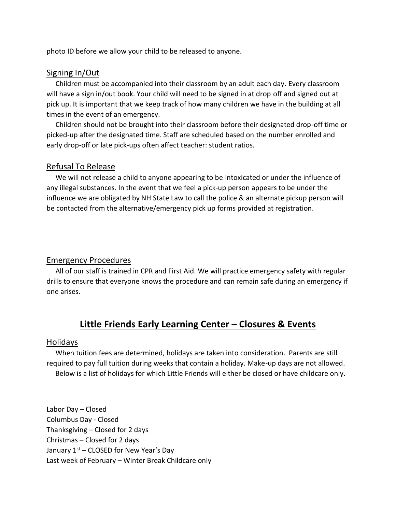photo ID before we allow your child to be released to anyone.

## Signing In/Out

 Children must be accompanied into their classroom by an adult each day. Every classroom will have a sign in/out book. Your child will need to be signed in at drop off and signed out at pick up. It is important that we keep track of how many children we have in the building at all times in the event of an emergency.

 Children should not be brought into their classroom before their designated drop-off time or picked-up after the designated time. Staff are scheduled based on the number enrolled and early drop-off or late pick-ups often affect teacher: student ratios.

### Refusal To Release

 We will not release a child to anyone appearing to be intoxicated or under the influence of any illegal substances. In the event that we feel a pick-up person appears to be under the influence we are obligated by NH State Law to call the police & an alternate pickup person will be contacted from the alternative/emergency pick up forms provided at registration.

# Emergency Procedures

 All of our staff is trained in CPR and First Aid. We will practice emergency safety with regular drills to ensure that everyone knows the procedure and can remain safe during an emergency if one arises.

# **Little Friends Early Learning Center – Closures & Events**

### Holidays

 When tuition fees are determined, holidays are taken into consideration. Parents are still required to pay full tuition during weeks that contain a holiday. Make-up days are not allowed. Below is a list of holidays for which Little Friends will either be closed or have childcare only.

Labor Day – Closed Columbus Day - Closed Thanksgiving – Closed for 2 days Christmas – Closed for 2 days January  $1<sup>st</sup>$  – CLOSED for New Year's Day Last week of February – Winter Break Childcare only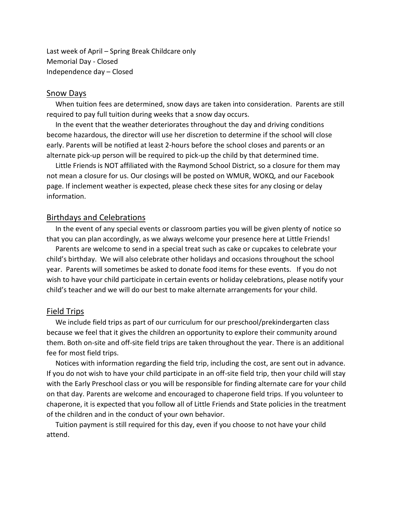Last week of April – Spring Break Childcare only Memorial Day - Closed Independence day – Closed

#### Snow Days

 When tuition fees are determined, snow days are taken into consideration. Parents are still required to pay full tuition during weeks that a snow day occurs.

 In the event that the weather deteriorates throughout the day and driving conditions become hazardous, the director will use her discretion to determine if the school will close early. Parents will be notified at least 2-hours before the school closes and parents or an alternate pick-up person will be required to pick-up the child by that determined time.

 Little Friends is NOT affiliated with the Raymond School District, so a closure for them may not mean a closure for us. Our closings will be posted on WMUR, WOKQ, and our Facebook page. If inclement weather is expected, please check these sites for any closing or delay information.

#### Birthdays and Celebrations

 In the event of any special events or classroom parties you will be given plenty of notice so that you can plan accordingly, as we always welcome your presence here at Little Friends!

 Parents are welcome to send in a special treat such as cake or cupcakes to celebrate your child's birthday. We will also celebrate other holidays and occasions throughout the school year. Parents will sometimes be asked to donate food items for these events. If you do not wish to have your child participate in certain events or holiday celebrations, please notify your child's teacher and we will do our best to make alternate arrangements for your child.

#### Field Trips

 We include field trips as part of our curriculum for our preschool/prekindergarten class because we feel that it gives the children an opportunity to explore their community around them. Both on-site and off-site field trips are taken throughout the year. There is an additional fee for most field trips.

 Notices with information regarding the field trip, including the cost, are sent out in advance. If you do not wish to have your child participate in an off-site field trip, then your child will stay with the Early Preschool class or you will be responsible for finding alternate care for your child on that day. Parents are welcome and encouraged to chaperone field trips. If you volunteer to chaperone, it is expected that you follow all of Little Friends and State policies in the treatment of the children and in the conduct of your own behavior.

 Tuition payment is still required for this day, even if you choose to not have your child attend.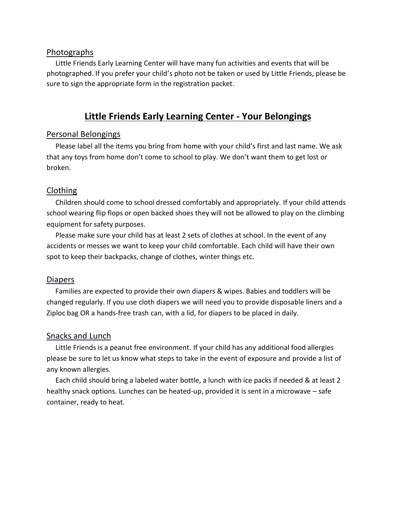#### Photographs

 Little Friends Early Learning Center will have many fun activities and events that will be photographed. If you prefer your child's photo not be taken or used by Little Friends, please be sure to sign the appropriate form in the registration packet.

# **Little Friends Early Learning Center - Your Belongings**

## Personal Belongings

 Please label all the items you bring from home with your child's first and last name. We ask that any toys from home don't come to school to play. We don't want them to get lost or broken.

## Clothing

 Children should come to school dressed comfortably and appropriately. If your child attends school wearing flip flops or open backed shoes they will not be allowed to play on the climbing equipment for safety purposes.

 Please make sure your child has at least 2 sets of clothes at school. In the event of any accidents or messes we want to keep your child comfortable. Each child will have their own spot to keep their backpacks, change of clothes, winter things etc.

### Diapers

 Families are expected to provide their own diapers & wipes. Babies and toddlers will be changed regularly. If you use cloth diapers we will need you to provide disposable liners and a Ziploc bag OR a hands-free trash can, with a lid, for diapers to be placed in daily.

### Snacks and Lunch

 Little Friends is a peanut free environment. If your child has any additional food allergies please be sure to let us know what steps to take in the event of exposure and provide a list of any known allergies.

 Each child should bring a labeled water bottle, a lunch with ice packs if needed & at least 2 healthy snack options. Lunches can be heated-up, provided it is sent in a microwave – safe container, ready to heat.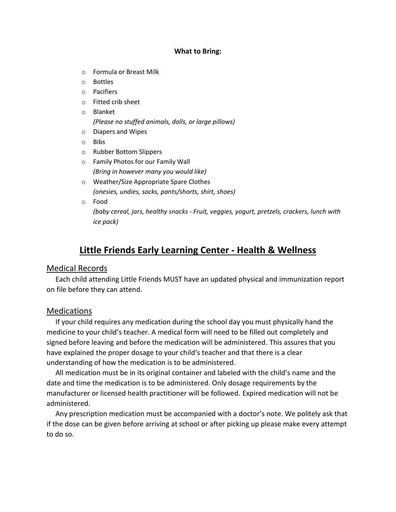#### **What to Bring:**

- o Formula or Breast Milk
- o Bottles
- o Pacifiers
- o Fitted crib sheet
- o Blanket *(Please no stuffed animals, dolls, or large pillows)*
- o Diapers and Wipes
- o Bibs
- o Rubber Bottom Slippers
- o Family Photos for our Family Wall *(Bring in however many you would like)*
- o Weather/Size Appropriate Spare Clothes *(onesies, undies, socks, pants/shorts, shirt, shoes)*
- o Food

*(baby cereal, jars, healthy snacks - Fruit, veggies, yogurt, pretzels, crackers, lunch with ice pack)*

# **Little Friends Early Learning Center - Health & Wellness**

### Medical Records

 Each child attending Little Friends MUST have an updated physical and immunization report on file before they can attend.

# Medications

 If your child requires any medication during the school day you must physically hand the medicine to your child's teacher. A medical form will need to be filled out completely and signed before leaving and before the medication will be administered. This assures that you have explained the proper dosage to your child's teacher and that there is a clear understanding of how the medication is to be administered.

 All medication must be in its original container and labeled with the child's name and the date and time the medication is to be administered. Only dosage requirements by the manufacturer or licensed health practitioner will be followed. Expired medication will not be administered.

 Any prescription medication must be accompanied with a doctor's note. We politely ask that if the dose can be given before arriving at school or after picking up please make every attempt to do so.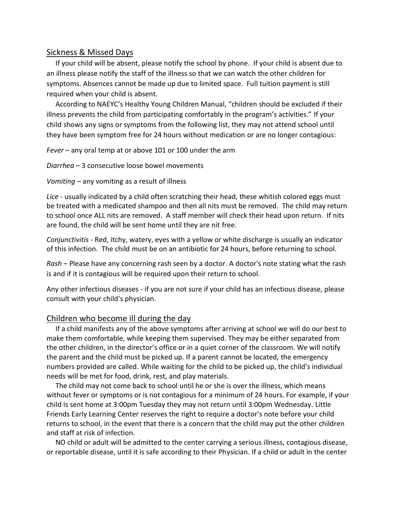### Sickness & Missed Days

 If your child will be absent, please notify the school by phone. If your child is absent due to an illness please notify the staff of the illness so that we can watch the other children for symptoms. Absences cannot be made up due to limited space. Full tuition payment is still required when your child is absent.

 According to NAEYC's Healthy Young Children Manual, "children should be excluded if their illness prevents the child from participating comfortably in the program's activities." If your child shows any signs or symptoms from the following list, they may not attend school until they have been symptom free for 24 hours without medication or are no longer contagious:

*Fever* – any oral temp at or above 101 or 100 under the arm

*Diarrhea* – 3 consecutive loose bowel movements

*Vomiting* – any vomiting as a result of illness

*Lice* - usually indicated by a child often scratching their head, these whitish colored eggs must be treated with a medicated shampoo and then all nits must be removed. The child may return to school once ALL nits are removed. A staff member will check their head upon return. If nits are found, the child will be sent home until they are nit free.

*Conjunctivitis* - Red, itchy, watery, eyes with a yellow or white discharge is usually an indicator of this infection. The child must be on an antibiotic for 24 hours, before returning to school.

*Rash* – Please have any concerning rash seen by a doctor. A doctor's note stating what the rash is and if it is contagious will be required upon their return to school.

Any other infectious diseases - if you are not sure if your child has an infectious disease, please consult with your child's physician.

# Children who become ill during the day

 If a child manifests any of the above symptoms after arriving at school we will do our best to make them comfortable, while keeping them supervised. They may be either separated from the other children, in the director's office or in a quiet corner of the classroom. We will notify the parent and the child must be picked up. If a parent cannot be located, the emergency numbers provided are called. While waiting for the child to be picked up, the child's individual needs will be met for food, drink, rest, and play materials.

 The child may not come back to school until he or she is over the illness, which means without fever or symptoms or is not contagious for a minimum of 24 hours. For example, if your child is sent home at 3:00pm Tuesday they may not return until 3:00pm Wednesday. Little Friends Early Learning Center reserves the right to require a doctor's note before your child returns to school, in the event that there is a concern that the child may put the other children and staff at risk of infection.

 NO child or adult will be admitted to the center carrying a serious illness, contagious disease, or reportable disease, until it is safe according to their Physician. If a child or adult in the center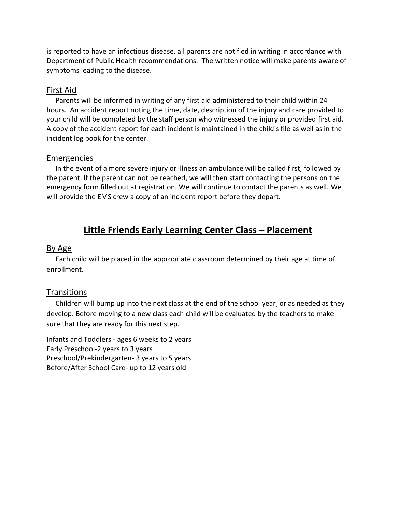is reported to have an infectious disease, all parents are notified in writing in accordance with Department of Public Health recommendations. The written notice will make parents aware of symptoms leading to the disease.

# First Aid

 Parents will be informed in writing of any first aid administered to their child within 24 hours. An accident report noting the time, date, description of the injury and care provided to your child will be completed by the staff person who witnessed the injury or provided first aid. A copy of the accident report for each incident is maintained in the child's file as well as in the incident log book for the center.

## Emergencies

 In the event of a more severe injury or illness an ambulance will be called first, followed by the parent. If the parent can not be reached, we will then start contacting the persons on the emergency form filled out at registration. We will continue to contact the parents as well. We will provide the EMS crew a copy of an incident report before they depart.

# **Little Friends Early Learning Center Class – Placement**

## By Age

 Each child will be placed in the appropriate classroom determined by their age at time of enrollment.

# **Transitions**

 Children will bump up into the next class at the end of the school year, or as needed as they develop. Before moving to a new class each child will be evaluated by the teachers to make sure that they are ready for this next step.

Infants and Toddlers - ages 6 weeks to 2 years Early Preschool-2 years to 3 years Preschool/Prekindergarten- 3 years to 5 years Before/After School Care- up to 12 years old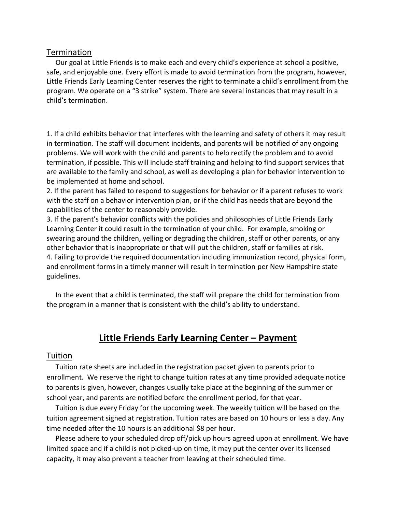#### Termination

 Our goal at Little Friends is to make each and every child's experience at school a positive, safe, and enjoyable one. Every effort is made to avoid termination from the program, however, Little Friends Early Learning Center reserves the right to terminate a child's enrollment from the program. We operate on a "3 strike" system. There are several instances that may result in a child's termination.

1. If a child exhibits behavior that interferes with the learning and safety of others it may result in termination. The staff will document incidents, and parents will be notified of any ongoing problems. We will work with the child and parents to help rectify the problem and to avoid termination, if possible. This will include staff training and helping to find support services that are available to the family and school, as well as developing a plan for behavior intervention to be implemented at home and school.

2. If the parent has failed to respond to suggestions for behavior or if a parent refuses to work with the staff on a behavior intervention plan, or if the child has needs that are beyond the capabilities of the center to reasonably provide.

3. If the parent's behavior conflicts with the policies and philosophies of Little Friends Early Learning Center it could result in the termination of your child. For example, smoking or swearing around the children, yelling or degrading the children, staff or other parents, or any other behavior that is inappropriate or that will put the children, staff or families at risk. 4. Failing to provide the required documentation including immunization record, physical form, and enrollment forms in a timely manner will result in termination per New Hampshire state guidelines.

 In the event that a child is terminated, the staff will prepare the child for termination from the program in a manner that is consistent with the child's ability to understand.

# **Little Friends Early Learning Center – Payment**

#### Tuition

 Tuition rate sheets are included in the registration packet given to parents prior to enrollment. We reserve the right to change tuition rates at any time provided adequate notice to parents is given, however, changes usually take place at the beginning of the summer or school year, and parents are notified before the enrollment period, for that year.

 Tuition is due every Friday for the upcoming week. The weekly tuition will be based on the tuition agreement signed at registration. Tuition rates are based on 10 hours or less a day. Any time needed after the 10 hours is an additional \$8 per hour.

 Please adhere to your scheduled drop off/pick up hours agreed upon at enrollment. We have limited space and if a child is not picked-up on time, it may put the center over its licensed capacity, it may also prevent a teacher from leaving at their scheduled time.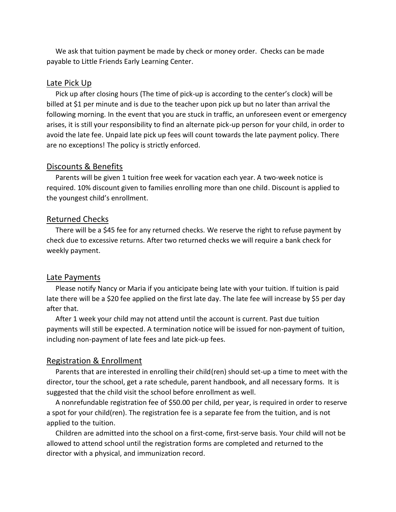We ask that tuition payment be made by check or money order. Checks can be made payable to Little Friends Early Learning Center.

#### Late Pick Up

 Pick up after closing hours (The time of pick-up is according to the center's clock) will be billed at \$1 per minute and is due to the teacher upon pick up but no later than arrival the following morning. In the event that you are stuck in traffic, an unforeseen event or emergency arises, it is still your responsibility to find an alternate pick-up person for your child, in order to avoid the late fee. Unpaid late pick up fees will count towards the late payment policy. There are no exceptions! The policy is strictly enforced.

#### Discounts & Benefits

 Parents will be given 1 tuition free week for vacation each year. A two-week notice is required. 10% discount given to families enrolling more than one child. Discount is applied to the youngest child's enrollment.

#### Returned Checks

 There will be a \$45 fee for any returned checks. We reserve the right to refuse payment by check due to excessive returns. After two returned checks we will require a bank check for weekly payment.

#### Late Payments

 Please notify Nancy or Maria if you anticipate being late with your tuition. If tuition is paid late there will be a \$20 fee applied on the first late day. The late fee will increase by \$5 per day after that.

 After 1 week your child may not attend until the account is current. Past due tuition payments will still be expected. A termination notice will be issued for non-payment of tuition, including non-payment of late fees and late pick-up fees.

#### Registration & Enrollment

 Parents that are interested in enrolling their child(ren) should set-up a time to meet with the director, tour the school, get a rate schedule, parent handbook, and all necessary forms. It is suggested that the child visit the school before enrollment as well.

 A nonrefundable registration fee of \$50.00 per child, per year, is required in order to reserve a spot for your child(ren). The registration fee is a separate fee from the tuition, and is not applied to the tuition.

 Children are admitted into the school on a first-come, first-serve basis. Your child will not be allowed to attend school until the registration forms are completed and returned to the director with a physical, and immunization record.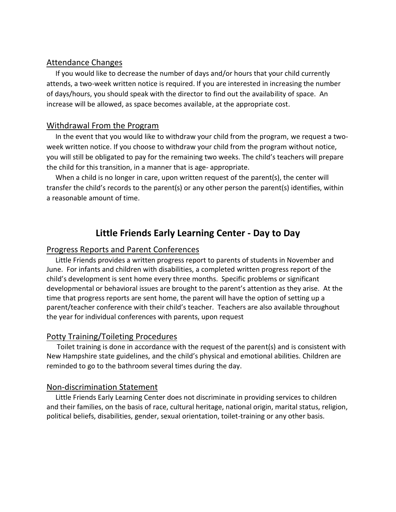# Attendance Changes

 If you would like to decrease the number of days and/or hours that your child currently attends, a two-week written notice is required. If you are interested in increasing the number of days/hours, you should speak with the director to find out the availability of space. An increase will be allowed, as space becomes available, at the appropriate cost.

## Withdrawal From the Program

 In the event that you would like to withdraw your child from the program, we request a twoweek written notice. If you choose to withdraw your child from the program without notice, you will still be obligated to pay for the remaining two weeks. The child's teachers will prepare the child for this transition, in a manner that is age- appropriate.

 When a child is no longer in care, upon written request of the parent(s), the center will transfer the child's records to the parent(s) or any other person the parent(s) identifies, within a reasonable amount of time.

# **Little Friends Early Learning Center - Day to Day**

### Progress Reports and Parent Conferences

 Little Friends provides a written progress report to parents of students in November and June. For infants and children with disabilities, a completed written progress report of the child's development is sent home every three months. Specific problems or significant developmental or behavioral issues are brought to the parent's attention as they arise. At the time that progress reports are sent home, the parent will have the option of setting up a parent/teacher conference with their child's teacher. Teachers are also available throughout the year for individual conferences with parents, upon request

### Potty Training/Toileting Procedures

 Toilet training is done in accordance with the request of the parent(s) and is consistent with New Hampshire state guidelines, and the child's physical and emotional abilities. Children are reminded to go to the bathroom several times during the day.

### Non-discrimination Statement

 Little Friends Early Learning Center does not discriminate in providing services to children and their families, on the basis of race, cultural heritage, national origin, marital status, religion, political beliefs, disabilities, gender, sexual orientation, toilet-training or any other basis.